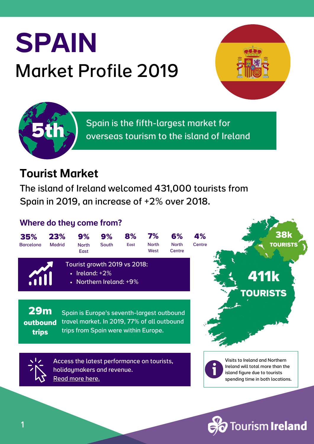# SPAIN Market Profile 2019





Spain is the fifth-largest market for overseas tourism to the island of Ireland

#### Tourist Market

The island of Ireland welcomed 431,000 tourists from Spain in 2019, an increase of +2% over 2018.

#### Where do they come from?



**Fourism Ireland**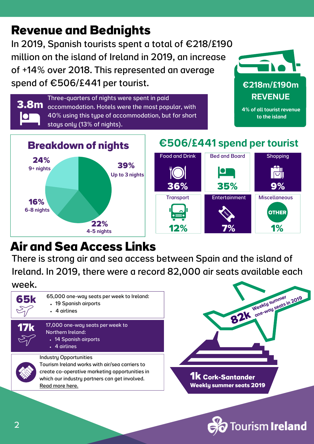## **Revenue and Bednights**

In 2019, Spanish tourists spent a total of €218/£190 million on the island of Ireland in 2019, an increase of +14% over 2018. This represented an average spend of  $\epsilon$ 506/£441 per tourist.  $\epsilon$ 218m/£190m



Three-quarters of nights were spent in paid accommodation. Hotels were the most popular, with 40% using this type of accommodation, but for short stays only (13% of nights). **3.8m**



4% of all tourist revenue to the island



#### €506/£441 spend per tourist



## **Air and Sea Access Links**

There is strong air and sea access between Spain and the island of Ireland. In 2019, there were a record 82,000 air seats available each week.



- 19 Spanish airports 65,000 one-way seats per week to Ireland:
	- 4 airlines



- 17,000 one-way seats per week to Northern Ireland:
	- 14 Spanish airports
		- 4 airlines



Tourism Ireland works with air/sea carriers to create co-operative marketing [opportunities](https://www.tourismirelandindustryopportunities.com/overseas-markets/europe/spain) in which our industry partners can get involved[.](https://www.tourismirelandindustryopportunities.com/overseas-markets/europe/spain) [Read](https://www.tourismirelandindustryopportunities.com/overseas-markets/europe/spain) more here.



**Fourism Ireland**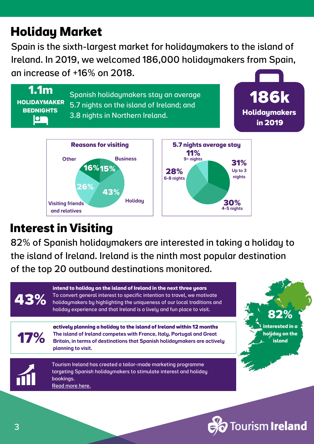## **Holiday Market**

Spain is the sixth-largest market for holidaymakers to the island of Ireland. In 2019, we welcomed 186,000 holidaymakers from Spain, an increase of +16% on 2018.



#### **Interest in Visiting**

and relatives

82% of Spanish holidaymakers are interested in taking a holiday to the island of Ireland. Ireland is the ninth most popular destination of the top 20 outbound destinations monitored.



4-5 nights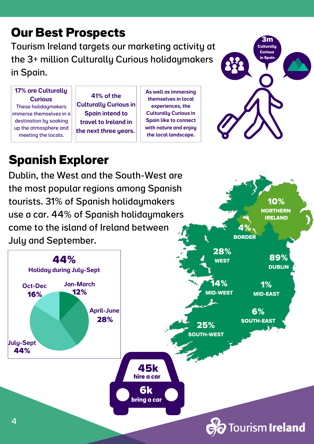#### **Our Best Prospects**

Tourism Ireland targets our marketing activity at the 3+ million Culturally Curious holidaymakers in Spain.

17% are Culturally **Curious** These holidaymakers immerse themselves in a destination by soaking up the atmosphere and meeting the locals.

41% of the Culturally Curious in Spain intend to travel to Ireland in the next three years.

As well as immersing themselves in local experiences, the Culturally Curious in Spain like to connect with nature and enjoy the local landscape.



**10% NORTHERN IRELAND**

**4%**

## **Spanish Explorer**

Dublin, the West and the South-West are the most popular regions among Spanish tourists. 31% of Spanish holidaymakers use a car. 44% of Spanish holidaymakers come to the island of Ireland between

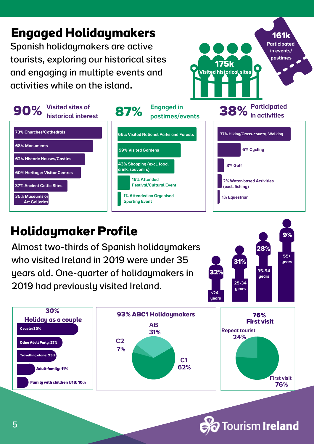

#### **Holidaymaker Profile**

Almost two-thirds of Spanish holidaymakers who visited Ireland in 2019 were under 35 years old. One-quarter of holidaymakers in 2019 had previously visited Ireland.